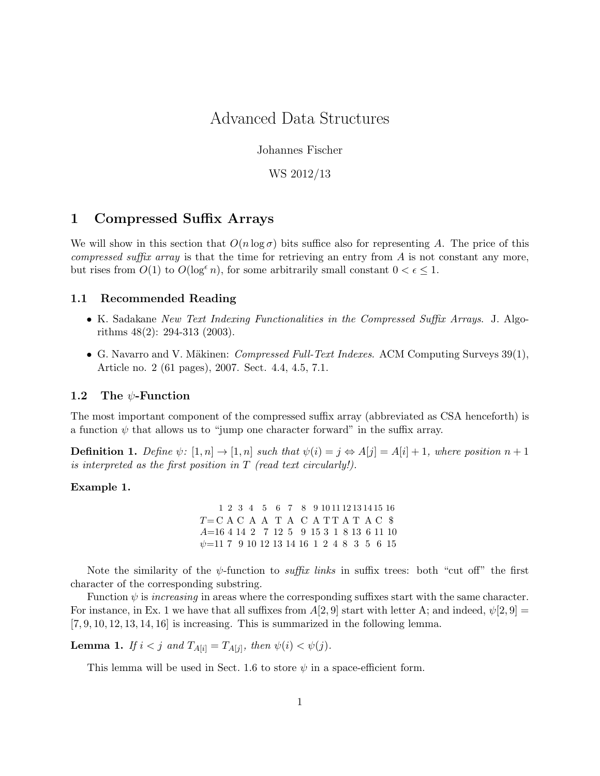# Advanced Data Structures

Johannes Fischer

WS 2012/13

## 1 Compressed Suffix Arrays

We will show in this section that  $O(n \log \sigma)$  bits suffice also for representing A. The price of this *compressed suffix array* is that the time for retrieving an entry from  $\vec{A}$  is not constant any more, but rises from  $O(1)$  to  $O(\log^{\epsilon} n)$ , for some arbitrarily small constant  $0 < \epsilon \leq 1$ .

## 1.1 Recommended Reading

- K. Sadakane New Text Indexing Functionalities in the Compressed Suffix Arrays. J. Algorithms 48(2): 294-313 (2003).
- G. Navarro and V. Mäkinen: *Compressed Full-Text Indexes.* ACM Computing Surveys  $39(1)$ , Article no. 2 (61 pages), 2007. Sect. 4.4, 4.5, 7.1.

## 1.2 The  $\psi$ -Function

The most important component of the compressed suffix array (abbreviated as CSA henceforth) is a function  $\psi$  that allows us to "jump one character forward" in the suffix array.

**Definition 1.** Define  $\psi$ :  $[1, n] \rightarrow [1, n]$  such that  $\psi(i) = j \Leftrightarrow A[j] = A[i] + 1$ , where position  $n + 1$ is interpreted as the first position in T (read text circularly!).

#### Example 1.

 $T=C A C A A T A C A T T A T A C$ A=16 4 14 2 7 12 5 9 15 3 1 8 13 6 11 10  $\psi$ =11 7 9 10 12 13 14 16 1 2 4 8 3 5 6 15 1 2 3 4 5 6 7 8 9 10 11 12 13 14 15 16

Note the similarity of the  $\psi$ -function to *suffix links* in suffix trees: both "cut off" the first character of the corresponding substring.

Function  $\psi$  is *increasing* in areas where the corresponding suffixes start with the same character. For instance, in Ex. 1 we have that all suffixes from  $A[2,9]$  start with letter A; and indeed,  $\psi[2,9] =$  $[7, 9, 10, 12, 13, 14, 16]$  is increasing. This is summarized in the following lemma.

**Lemma 1.** If  $i < j$  and  $T_{A[i]} = T_{A[j]}$ , then  $\psi(i) < \psi(j)$ .

This lemma will be used in Sect. 1.6 to store  $\psi$  in a space-efficient form.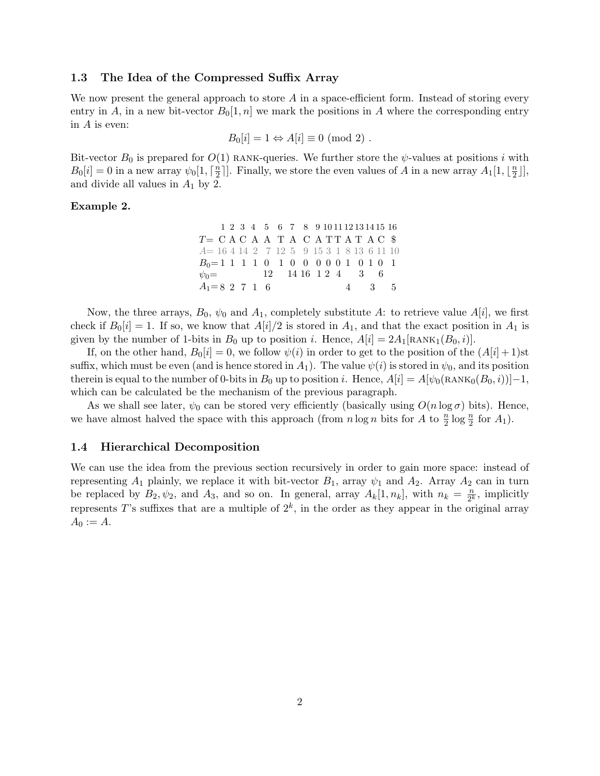## 1.3 The Idea of the Compressed Suffix Array

We now present the general approach to store  $A$  in a space-efficient form. Instead of storing every entry in A, in a new bit-vector  $B_0[1,n]$  we mark the positions in A where the corresponding entry in A is even:

$$
B_0[i] = 1 \Leftrightarrow A[i] \equiv 0 \pmod{2} .
$$

Bit-vector  $B_0$  is prepared for  $O(1)$  RANK-queries. We further store the  $\psi$ -values at positions i with  $B_0[i] = 0$  in a new array  $\psi_0[1, \lceil \frac{n}{2} \rceil]$  $\frac{n}{2}$ ]. Finally, we store the even values of A in a new array  $A_1[1, \lfloor \frac{n}{2} \rfloor]$  $\frac{n}{2}$ ], and divide all values in  $A_1$  by 2.

#### Example 2.

|                                       |  |  |  | 1 2 3 4 5 6 7 8 9 10 11 12 13 14 15 16 |  |  |  |       |
|---------------------------------------|--|--|--|----------------------------------------|--|--|--|-------|
| $T = C A C A A T A C A T T A T A C$   |  |  |  |                                        |  |  |  |       |
| $A=16414271259153181361110$           |  |  |  |                                        |  |  |  |       |
| $B_0=1$ 1 1 1 0 1 0 0 0 0 0 1 0 1 0 1 |  |  |  |                                        |  |  |  |       |
| $\psi_0 =$ 12 14 16 1 2 4 3 6         |  |  |  |                                        |  |  |  |       |
| $A_1 = 8$ 2 7 1 6                     |  |  |  |                                        |  |  |  | 4 3 5 |

Now, the three arrays,  $B_0$ ,  $\psi_0$  and  $A_1$ , completely substitute A: to retrieve value  $A[i]$ , we first check if  $B_0[i] = 1$ . If so, we know that  $A[i]/2$  is stored in  $A_1$ , and that the exact position in  $A_1$  is given by the number of 1-bits in  $B_0$  up to position i. Hence,  $A[i] = 2A_1[\text{RANK}_1(B_0, i)]$ .

If, on the other hand,  $B_0[i] = 0$ , we follow  $\psi(i)$  in order to get to the position of the  $(A[i] + 1)$ st suffix, which must be even (and is hence stored in  $A_1$ ). The value  $\psi(i)$  is stored in  $\psi_0$ , and its position therein is equal to the number of 0-bits in  $B_0$  up to position i. Hence,  $A[i] = A[\psi_0(RANK_0(B_0, i))] - 1$ , which can be calculated be the mechanism of the previous paragraph.

As we shall see later,  $\psi_0$  can be stored very efficiently (basically using  $O(n \log \sigma)$  bits). Hence, we have almost halved the space with this approach (from  $n \log n$  bits for A to  $\frac{n}{2} \log \frac{n}{2}$  for  $A_1$ ).

#### 1.4 Hierarchical Decomposition

We can use the idea from the previous section recursively in order to gain more space: instead of representing  $A_1$  plainly, we replace it with bit-vector  $B_1$ , array  $\psi_1$  and  $A_2$ . Array  $A_2$  can in turn be replaced by  $B_2, \psi_2$ , and  $A_3$ , and so on. In general, array  $A_k[1, n_k]$ , with  $n_k = \frac{n}{2^k}$  $\frac{n}{2^k}$ , implicitly represents T's suffixes that are a multiple of  $2^k$ , in the order as they appear in the original array  $A_0 := A.$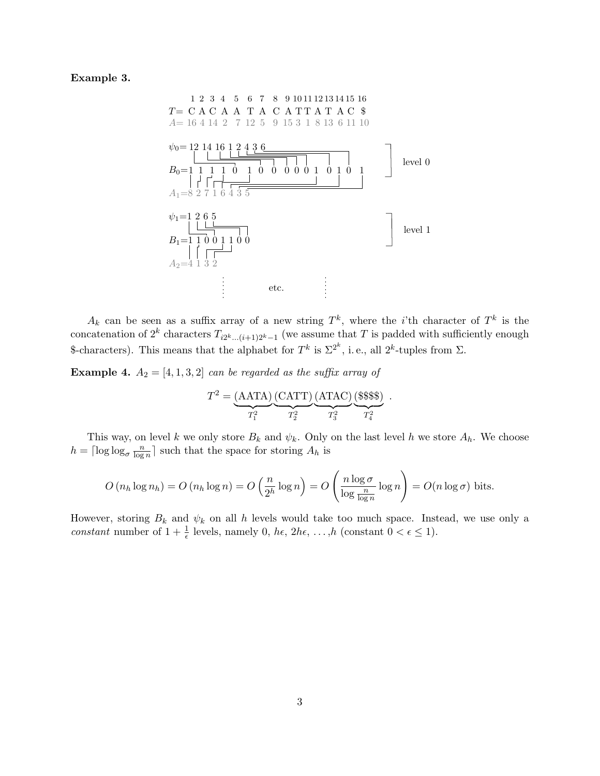Example 3.



 $A_k$  can be seen as a suffix array of a new string  $T^k$ , where the *i*'th character of  $T^k$  is the concatenation of  $2^k$  characters  $T_{i2^k...(i+1)2^k-1}$  (we assume that T is padded with sufficiently enough \$-characters). This means that the alphabet for  $T^k$  is  $\Sigma^{2^k}$ , i.e., all  $2^k$ -tuples from  $\Sigma$ .

**Example 4.**  $A_2 = [4, 1, 3, 2]$  can be regarded as the suffix array of

$$
T^{2} = \underbrace{(AATA)}_{T_{1}^{2}} \underbrace{(CATT)}_{T_{2}^{2}} \underbrace{(ATAC)}_{T_{3}^{2}} \underbrace{(\$\$\$\$) .
$$

This way, on level k we only store  $B_k$  and  $\psi_k$ . Only on the last level h we store  $A_h$ . We choose  $h = \lceil \log \log_{\sigma} \frac{n}{\log n} \rceil$  $\lfloor \frac{n}{\log n} \rfloor$  such that the space for storing  $A_h$  is

$$
O(n_h \log n_h) = O(n_h \log n) = O\left(\frac{n}{2^h} \log n\right) = O\left(\frac{n \log \sigma}{\log \frac{n}{\log n}} \log n\right) = O(n \log \sigma)
$$
 bits.

However, storing  $B_k$  and  $\psi_k$  on all h levels would take too much space. Instead, we use only a constant number of  $1 + \frac{1}{\epsilon}$  levels, namely 0,  $h\epsilon$ ,  $2h\epsilon$ , ..., $h$  (constant  $0 < \epsilon \leq 1$ ).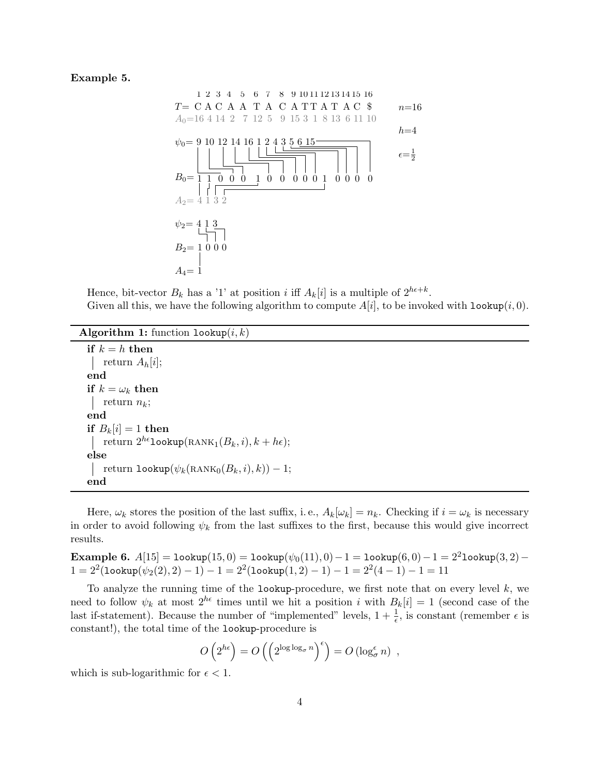## Example 5.



Hence, bit-vector  $B_k$  has a '1' at position i iff  $A_k[i]$  is a multiple of  $2^{h\epsilon+k}$ . Given all this, we have the following algorithm to compute  $A[i]$ , to be invoked with  $\text{lookup}(i, 0)$ .

Algorithm 1: function  $l$ ookup $(i, k)$ 

```
if k = h then
return A_h[i];end
if k = \omega_k then
 return n_k;
end
if B_k[i] = 1 then
return 2^{h\epsilon}lookup(RANK<sub>1</sub>(B<sub>k</sub>, i), k + h\epsilon);
else
    return \texttt{lookup}(\psi_k(\textsc{rank}_0(B_k, i), k)) - 1;end
```
Here,  $\omega_k$  stores the position of the last suffix, i.e.,  $A_k[\omega_k] = n_k$ . Checking if  $i = \omega_k$  is necessary in order to avoid following  $\psi_k$  from the last suffixes to the first, because this would give incorrect results.

Example 6. A[15] = lookup(15, 0) = lookup( $\psi_0(11), 0$ ) − 1 = lookup(6, 0) − 1 = 2<sup>2</sup>lookup(3, 2) −  $1 = 2^2(1$ ookup $(\psi_2(2), 2) - 1) - 1 = 2^2(1$ ookup $(1, 2) - 1) - 1 = 2^2(4 - 1) - 1 = 11$ 

To analyze the running time of the lookup-procedure, we first note that on every level  $k$ , we need to follow  $\psi_k$  at most  $2^{h\epsilon}$  times until we hit a position i with  $B_k[i] = 1$  (second case of the last if-statement). Because the number of "implemented" levels,  $1 + \frac{1}{\epsilon}$ , is constant (remember  $\epsilon$  is constant!), the total time of the lookup-procedure is

$$
O\left(2^{h\epsilon}\right) = O\left(\left(2^{\log \log_{\sigma} n}\right)^{\epsilon}\right) = O\left(\log_{\sigma}^{\epsilon} n\right) ,
$$

which is sub-logarithmic for  $\epsilon < 1$ .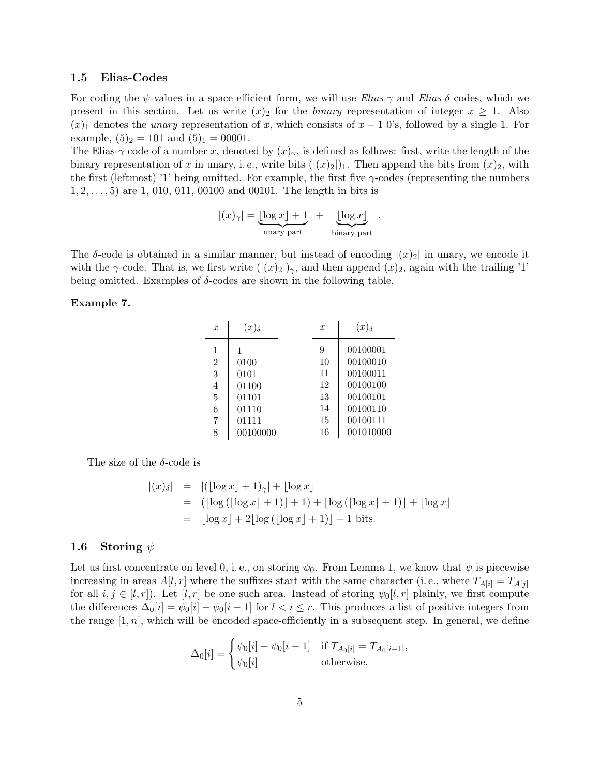### 1.5 Elias-Codes

For coding the  $\psi$ -values in a space efficient form, we will use *Elias-* $\gamma$  and *Elias-δ* codes, which we present in this section. Let us write  $(x)_2$  for the *binary* representation of integer  $x \ge 1$ . Also  $(x)$ <sub>1</sub> denotes the *unary* representation of x, which consists of  $x - 1$  0's, followed by a single 1. For example,  $(5)_2 = 101$  and  $(5)_1 = 00001$ .

The Elias-γ code of a number x, denoted by  $(x)_{\gamma}$ , is defined as follows: first, write the length of the binary representation of x in unary, i.e., write bits  $(|(x)_2|)_1$ . Then append the bits from  $(x)_2$ , with the first (leftmost) '1' being omitted. For example, the first five  $\gamma$ -codes (representing the numbers  $1, 2, \ldots, 5$  are 1, 010, 011, 00100 and 00101. The length in bits is

$$
|(x)_{\gamma}| = \underbrace{\lfloor \log x \rfloor + 1}_{\text{unary part}} + \underbrace{\lfloor \log x \rfloor}_{\text{binary part}}.
$$

The  $\delta$ -code is obtained in a similar manner, but instead of encoding  $|(x)_2|$  in unary, we encode it with the  $\gamma$ -code. That is, we first write  $(|(x)_2|)_\gamma$ , and then append  $(x)_2$ , again with the trailing '1' being omitted. Examples of  $\delta$ -codes are shown in the following table.

#### Example 7.

| $\boldsymbol{x}$ | $(x)_{\delta}$ | $\boldsymbol{x}$ | $(x)_{\delta}$ |
|------------------|----------------|------------------|----------------|
| 1                |                | 9                | 00100001       |
| $\overline{2}$   | 0100           | 10               | 00100010       |
| 3                | 0101           | 11               | 00100011       |
| $\overline{4}$   | 01100          | 12               | 00100100       |
| 5                | 01101          | 13               | 00100101       |
| 6                | 01110          | 14               | 00100110       |
| 7                | 01111          | 15               | 00100111       |
| 8                | 00100000       | 16               | 001010000      |

The size of the  $\delta$ -code is

$$
|(x)_{\delta}| = |(|\log x| + 1)_{\gamma}| + |\log x|
$$
  
= (|\log (|\log x| + 1)| + 1) + |\log (|\log x| + 1)| + |\log x|  
= |\log x| + 2\lfloor \log (|\log x| + 1)| + 1 \text{ bits.}

### 1.6 Storing  $\psi$

Let us first concentrate on level 0, i.e., on storing  $\psi_0$ . From Lemma 1, we know that  $\psi$  is piecewise increasing in areas  $A[l, r]$  where the suffixes start with the same character (i.e., where  $T_{A[i]} = T_{A[j]}$ for all  $i, j \in [l, r]$ ). Let  $[l, r]$  be one such area. Instead of storing  $\psi_0[l, r]$  plainly, we first compute the differences  $\Delta_0[i] = \psi_0[i] - \psi_0[i-1]$  for  $l < i \leq r$ . This produces a list of positive integers from the range  $[1, n]$ , which will be encoded space-efficiently in a subsequent step. In general, we define

$$
\Delta_0[i] = \begin{cases} \psi_0[i] - \psi_0[i-1] & \text{if } T_{A_0[i]} = T_{A_0[i-1]}, \\ \psi_0[i] & \text{otherwise.} \end{cases}
$$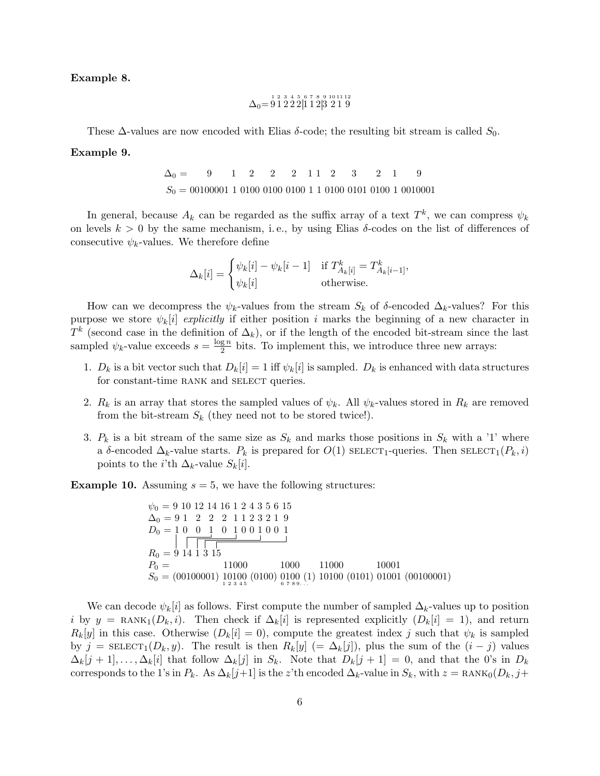Example 8.

$$
\Delta_0= \stackrel{1}{9}\stackrel{2}{1}\stackrel{3}{2}\stackrel{4}{2}\stackrel{5}{[}1\stackrel{6}{1}\stackrel{7}{2}\stackrel{8}{[}3\stackrel{9}{2}\stackrel{10}{1}\stackrel{11}{1}\stackrel{12}{2}
$$

These  $\Delta$ -values are now encoded with Elias  $\delta$ -code; the resulting bit stream is called  $S_0$ .

#### Example 9.

 $S_0 = 00100001$  1 0100 0100 0100 1 1 0100 0101 0100 1 0010001  $\Delta_0 = 9$  1 2 2 2 1 1 2 3 2 1 9

In general, because  $A_k$  can be regarded as the suffix array of a text  $T^k$ , we can compress  $\psi_k$ on levels  $k > 0$  by the same mechanism, i.e., by using Elias  $\delta$ -codes on the list of differences of consecutive  $\psi_k$ -values. We therefore define

$$
\Delta_k[i] = \begin{cases} \psi_k[i] - \psi_k[i-1] & \text{if } T^k_{A_k[i]} = T^k_{A_k[i-1]},\\ \psi_k[i] & \text{otherwise.} \end{cases}
$$

How can we decompress the  $\psi_k$ -values from the stream  $S_k$  of  $\delta$ -encoded  $\Delta_k$ -values? For this purpose we store  $\psi_k[i]$  explicitly if either position i marks the beginning of a new character in  $T^k$  (second case in the definition of  $\Delta_k$ ), or if the length of the encoded bit-stream since the last sampled  $\psi_k$ -value exceeds  $s = \frac{\log n}{2}$  $\frac{g n}{2}$  bits. To implement this, we introduce three new arrays:

- 1.  $D_k$  is a bit vector such that  $D_k[i] = 1$  iff  $\psi_k[i]$  is sampled.  $D_k$  is enhanced with data structures for constant-time RANK and SELECT queries.
- 2.  $R_k$  is an array that stores the sampled values of  $\psi_k$ . All  $\psi_k$ -values stored in  $R_k$  are removed from the bit-stream  $S_k$  (they need not to be stored twice!).
- 3.  $P_k$  is a bit stream of the same size as  $S_k$  and marks those positions in  $S_k$  with a '1' where a δ-encoded  $\Delta_k$ -value starts.  $P_k$  is prepared for  $O(1)$  SELECT<sub>1</sub>-queries. Then SELECT<sub>1</sub>( $P_k$ , i) points to the *i*'th  $\Delta_k$ -value  $S_k[i]$ .

**Example 10.** Assuming  $s = 5$ , we have the following structures:

$$
\psi_0 = 9 \ 10 \ 12 \ 14 \ 16 \ 1 \ 2 \ 4 \ 3 \ 5 \ 6 \ 15
$$
\n
$$
\Delta_0 = 9 \ 1 \quad 2 \quad 2 \quad 2 \quad 1 \ 1 \ 2 \ 3 \ 2 \ 1 \ 9
$$
\n
$$
D_0 = 1 \ 0 \quad 0 \quad 1 \quad 0 \quad 1 \quad 0 \quad 0 \quad 1 \quad 0 \quad 1
$$
\n
$$
R_0 = 9 \ 14 \ 1 \ 3 \ 15
$$
\n
$$
P_0 = 11000 \qquad 1000 \qquad 11000 \qquad 10001
$$
\n
$$
S_0 = (00100001) \ 10100 \ (0100) \ 0100 \ (01) \ 0100 \ (0101) \ 01001 \ (00100001)
$$

We can decode  $\psi_k[i]$  as follows. First compute the number of sampled  $\Delta_k$ -values up to position i by  $y = RANK_1(D_k, i)$ . Then check if  $\Delta_k[i]$  is represented explicitly  $(D_k[i] = 1)$ , and return  $R_k[y]$  in this case. Otherwise  $(D_k[i] = 0)$ , compute the greatest index j such that  $\psi_k$  is sampled by j =  $\text{SELECT}_1(D_k, y)$ . The result is then  $R_k[y]$  (=  $\Delta_k[j]$ ), plus the sum of the  $(i - j)$  values  $\Delta_k[j+1], \ldots, \Delta_k[i]$  that follow  $\Delta_k[j]$  in  $S_k$ . Note that  $D_k[j+1] = 0$ , and that the 0's in  $D_k$ corresponds to the 1's in  $P_k$ . As  $\Delta_k[j+1]$  is the z'th encoded  $\Delta_k$ -value in  $S_k$ , with  $z =$ RANK<sub>0</sub>( $D_k$ ,  $j+$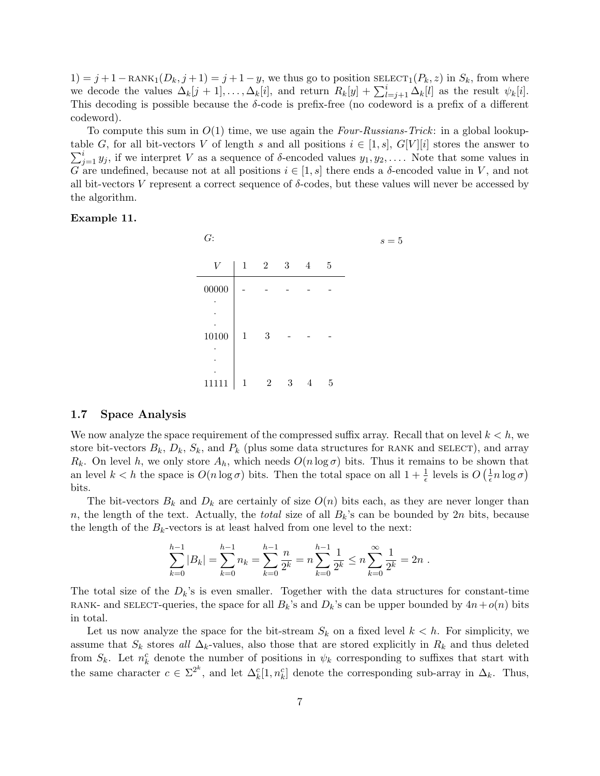$1) = j + 1 - RANK_1(D_k, j + 1) = j + 1 - y$ , we thus go to position  $SELECT_1(P_k, z)$  in  $S_k$ , from where we decode the values  $\Delta_k[j+1], \ldots, \Delta_k[i]$ , and return  $R_k[y] + \sum_{l=j+1}^i \Delta_k[l]$  as the result  $\psi_k[i]$ . This decoding is possible because the  $\delta$ -code is prefix-free (no codeword is a prefix of a different codeword).

To compute this sum in  $O(1)$  time, we use again the *Four-Russians-Trick*: in a global lookup- $\sum_{j=1}^i y_j$ , if we interpret V as a sequence of  $\delta$ -encoded values  $y_1, y_2, \ldots$ . Note that some values in table G, for all bit-vectors V of length s and all positions  $i \in [1, s]$ ,  $G[V][i]$  stores the answer to G are undefined, because not at all positions  $i \in [1, s]$  there ends a  $\delta$ -encoded value in V, and not all bit-vectors V represent a correct sequence of  $\delta$ -codes, but these values will never be accessed by the algorithm.

#### Example 11.

| G:               |              |                |   |                |      | $s=5$ |
|------------------|--------------|----------------|---|----------------|------|-------|
| $\boldsymbol{V}$ | $\mathbf{1}$ | 2 3            |   | $\overline{4}$ | $-5$ |       |
| ${\bf 00000}$    |              |                |   |                |      |       |
| ٠                |              |                |   |                |      |       |
| 10100            | $\mathbf{1}$ | 3              |   |                |      |       |
| ٠                |              |                |   |                |      |       |
| ٠                |              |                |   |                |      |       |
| 111              | 1            | $\overline{2}$ | 3 | 4              | 5    |       |

## 1.7 Space Analysis

We now analyze the space requirement of the compressed suffix array. Recall that on level  $k < h$ , we store bit-vectors  $B_k$ ,  $D_k$ ,  $S_k$ , and  $P_k$  (plus some data structures for RANK and SELECT), and array  $R_k$ . On level h, we only store  $A_h$ , which needs  $O(n \log \sigma)$  bits. Thus it remains to be shown that an level  $k < h$  the space is  $O(n \log \sigma)$  bits. Then the total space on all  $1 + \frac{1}{\epsilon}$  levels is  $O\left(\frac{1}{\epsilon}\right)$  $\frac{1}{\epsilon}n\log\sigma$ bits.

The bit-vectors  $B_k$  and  $D_k$  are certainly of size  $O(n)$  bits each, as they are never longer than n, the length of the text. Actually, the *total* size of all  $B_k$ 's can be bounded by  $2n$  bits, because the length of the  $B_k$ -vectors is at least halved from one level to the next:

$$
\sum_{k=0}^{h-1} |B_k| = \sum_{k=0}^{h-1} n_k = \sum_{k=0}^{h-1} \frac{n}{2^k} = n \sum_{k=0}^{h-1} \frac{1}{2^k} \le n \sum_{k=0}^{\infty} \frac{1}{2^k} = 2n.
$$

The total size of the  $D_k$ 's is even smaller. Together with the data structures for constant-time RANK- and SELECT-queries, the space for all  $B_k$ 's and  $D_k$ 's can be upper bounded by  $4n+o(n)$  bits in total.

Let us now analyze the space for the bit-stream  $S_k$  on a fixed level  $k < h$ . For simplicity, we assume that  $S_k$  stores all  $\Delta_k$ -values, also those that are stored explicitly in  $R_k$  and thus deleted from  $S_k$ . Let  $n_k^c$  denote the number of positions in  $\psi_k$  corresponding to suffixes that start with the same character  $c \in \Sigma^{2^k}$ , and let  $\Delta_k^c[1, n_k^c]$  denote the corresponding sub-array in  $\Delta_k$ . Thus,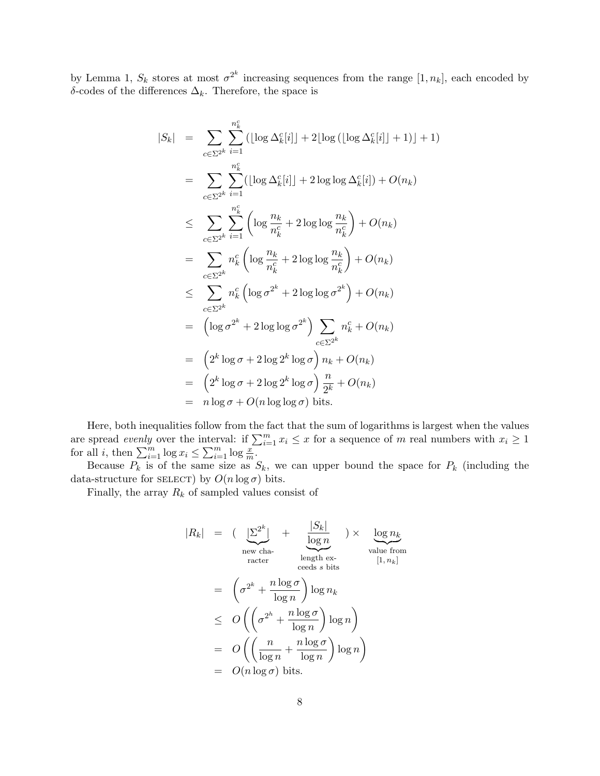by Lemma 1,  $S_k$  stores at most  $\sigma^{2^k}$  increasing sequences from the range  $[1, n_k]$ , each encoded by δ-codes of the differences  $\Delta_k$ . Therefore, the space is

$$
|S_k| = \sum_{c \in \Sigma^{2^k}} \sum_{i=1}^{n_k^c} (|\log \Delta_k^c[i]| + 2\lfloor \log (|\log \Delta_k^c[i]| + 1)] + 1)
$$
  
\n
$$
= \sum_{c \in \Sigma^{2^k}} \sum_{i=1}^{n_k^c} (|\log \Delta_k^c[i]| + 2\log \log \Delta_k^c[i]) + O(n_k)
$$
  
\n
$$
\leq \sum_{c \in \Sigma^{2^k}} \sum_{i=1}^{n_k^c} \left( \log \frac{n_k}{n_k^c} + 2\log \log \frac{n_k}{n_k^c} \right) + O(n_k)
$$
  
\n
$$
= \sum_{c \in \Sigma^{2^k}} n_k^c \left( \log \frac{n_k}{n_k^c} + 2\log \log \frac{n_k}{n_k^c} \right) + O(n_k)
$$
  
\n
$$
\leq \sum_{c \in \Sigma^{2^k}} n_k^c \left( \log \sigma^{2^k} + 2\log \log \sigma^{2^k} \right) + O(n_k)
$$
  
\n
$$
= \left( \log \sigma^{2^k} + 2\log \log \sigma^{2^k} \right) \sum_{c \in \Sigma^{2^k}} n_k^c + O(n_k)
$$
  
\n
$$
= \left( 2^k \log \sigma + 2 \log 2^k \log \sigma \right) n_k + O(n_k)
$$
  
\n
$$
= \left( 2^k \log \sigma + 2 \log 2^k \log \sigma \right) \frac{n_k}{2^k} + O(n_k)
$$
  
\n
$$
= n \log \sigma + O(n \log \log \sigma) \text{ bits.}
$$

Here, both inequalities follow from the fact that the sum of logarithms is largest when the values are spread evenly over the interval: if  $\sum_{i=1}^{m} x_i \leq x$  for a sequence of m real numbers with  $x_i \geq 1$ for all *i*, then  $\sum_{i=1}^{m} \log x_i \leq \sum_{i=1}^{m} \log \frac{x}{m}$ .

Because  $P_k$  is of the same size as  $S_k$ , we can upper bound the space for  $P_k$  (including the data-structure for SELECT) by  $O(n \log \sigma)$  bits.

Finally, the array  $R_k$  of sampled values consist of

$$
|R_k| = \left(\underbrace{|\Sigma^{2^k}|}_{\text{new cha-}+\text{order}} + \underbrace{\frac{|S_k|}{\log n}}_{\text{ceeds } s \text{ bits}}\right) \times \underbrace{\log n_k}_{\text{value from}}
$$
  
\n
$$
= \left(\sigma^{2^k} + \frac{n \log \sigma}{\log n}\right) \log n_k
$$
  
\n
$$
\leq O\left(\left(\sigma^{2^h} + \frac{n \log \sigma}{\log n}\right) \log n\right)
$$
  
\n
$$
= O\left(\left(\frac{n}{\log n} + \frac{n \log \sigma}{\log n}\right) \log n\right)
$$
  
\n
$$
= O(n \log \sigma) \text{ bits.}
$$